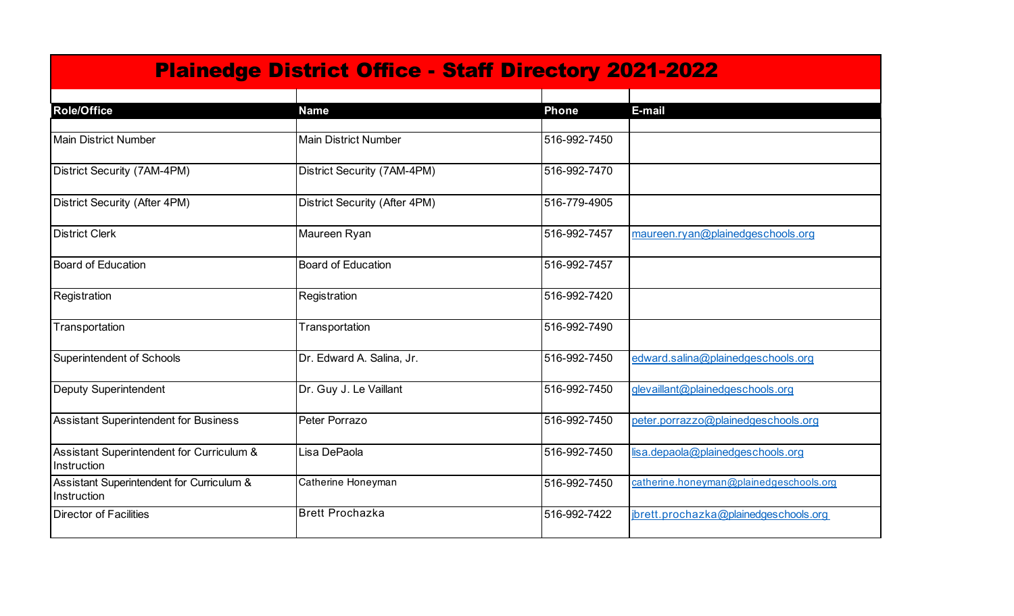| <b>Plainedge District Office - Staff Directory 2021-2022</b> |                               |              |                                         |  |
|--------------------------------------------------------------|-------------------------------|--------------|-----------------------------------------|--|
| <b>Role/Office</b>                                           | <b>Name</b>                   | <b>Phone</b> | E-mail                                  |  |
|                                                              |                               |              |                                         |  |
| <b>Main District Number</b>                                  | <b>Main District Number</b>   | 516-992-7450 |                                         |  |
| District Security (7AM-4PM)                                  | District Security (7AM-4PM)   | 516-992-7470 |                                         |  |
| District Security (After 4PM)                                | District Security (After 4PM) | 516-779-4905 |                                         |  |
| <b>District Clerk</b>                                        | Maureen Ryan                  | 516-992-7457 | maureen.ryan@plainedgeschools.org       |  |
| <b>Board of Education</b>                                    | <b>Board of Education</b>     | 516-992-7457 |                                         |  |
| Registration                                                 | Registration                  | 516-992-7420 |                                         |  |
| Transportation                                               | Transportation                | 516-992-7490 |                                         |  |
| Superintendent of Schools                                    | Dr. Edward A. Salina, Jr.     | 516-992-7450 | edward.salina@plainedgeschools.org      |  |
| <b>Deputy Superintendent</b>                                 | Dr. Guy J. Le Vaillant        | 516-992-7450 | glevaillant@plainedgeschools.org        |  |
| <b>Assistant Superintendent for Business</b>                 | Peter Porrazo                 | 516-992-7450 | peter.porrazzo@plainedgeschools.org     |  |
| Assistant Superintendent for Curriculum &<br>Instruction     | Lisa DePaola                  | 516-992-7450 | lisa.depaola@plainedgeschools.org       |  |
| Assistant Superintendent for Curriculum &<br>Instruction     | Catherine Honeyman            | 516-992-7450 | catherine.honeyman@plainedgeschools.org |  |
| <b>Director of Facilities</b>                                | <b>Brett Prochazka</b>        | 516-992-7422 | jbrett.prochazka@plainedgeschools.org   |  |